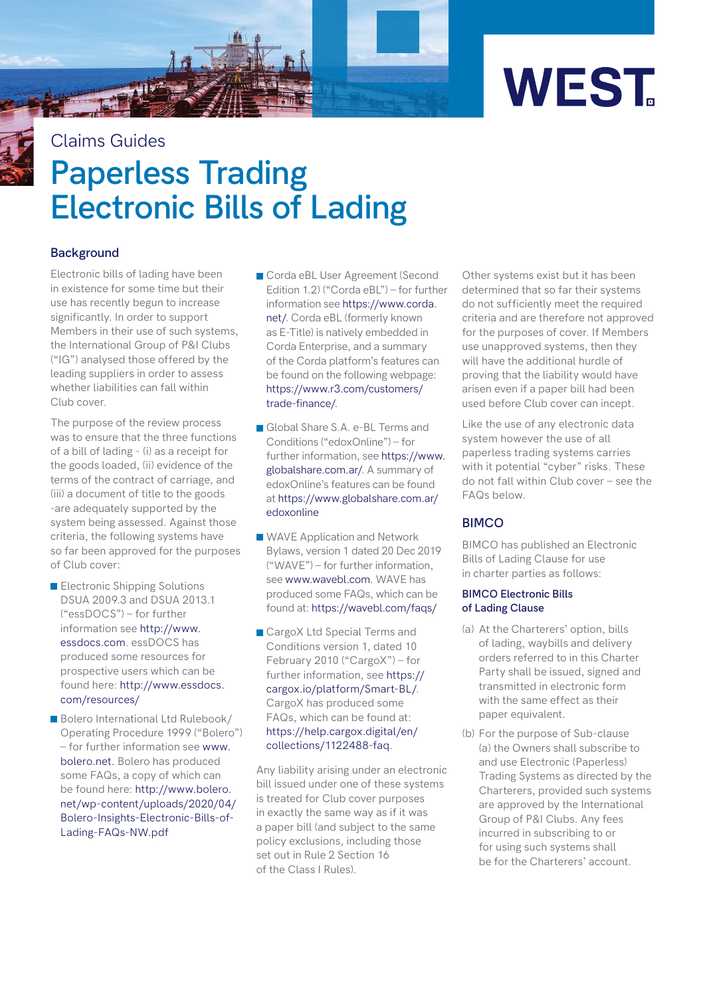

# **Paperless Trading Electronic Bills of Lading** Claims Guides

# **Background**

Electronic bills of lading have been in existence for some time but their use has recently begun to increase significantly. In order to support Members in their use of such systems, the International Group of P&I Clubs ("IG") analysed those offered by the leading suppliers in order to assess whether liabilities can fall within Club cover.

The purpose of the review process was to ensure that the three functions of a bill of lading - (i) as a receipt for the goods loaded, (ii) evidence of the terms of the contract of carriage, and (iii) a document of title to the goods -are adequately supported by the system being assessed. Against those criteria, the following systems have so far been approved for the purposes of Club cover:

- **Electronic Shipping Solutions** DSUA 2009.3 and DSUA 2013.1 ("essDOCS") – for further information see http://www. [essdocs.com. essDOCS has](http://www.essdocs.com)  produced some resources for prospective users which can be [found here: http://www.essdocs.](http://www.essdocs.com/resources) com/resources/
- Bolero International Ltd Rulebook/ Operating Procedure 1999 ("Bolero") [– for further information see www.](www.bolero.net) bolero.net. Bolero has produced some FAQs, a copy of which can be found here: http://www.bolero. [net/wp-content/uploads/2020/04/](www.bolero.net/wp-content/uploads/2020/04/Bolero-Insights-Electronic-Bills-of-Lading-FAQs-NW.pdf) Bolero-Insights-Electronic-Bills-of-Lading-FAQs-NW.pdf
- Corda eBL User Agreement (Second Edition 1.2) ("Corda eBL") – for further [information see https://www.corda.](https://www.corda.net/) net/. Corda eBL (formerly known as E-Title) is natively embedded in Corda Enterprise, and a summary of the Corda platform's features can be found on the following webpage: [https://www.r3.com/customers/](https://www.r3.com/customers/trade-finance/) trade-finance/.
- Global Share S.A. e-BL Terms and Conditions ("edoxOnline") – for [further information, see https://www.](https://www.globalshare.com.ar/) globalshare.com.ar/. A summary of edoxOnline's features can be found at https://www.globalshare.com.ar/ edoxonline
- WAVE Application and Network [Bylaws, version 1 dated 20 Dec 2019](https://www.globalshare.com.ar/edoxonline)   $($ "WAVE" $)$  – for further information se[e www.wavebl.com. W](www.wavebl.com)AVE has produced some FAQs, which can be found a[t: https://wavebl.com/faqs/](https://wavebl.com/faqs/)
- CargoX Ltd Special Terms and Conditions version 1, dated 10 February 2010 ("CargoX") – for [further information, see https://](https://cargox.io/platform/Smart-BL/) cargox.io/platform/Smart-BL/. CargoX has produced some FAQs, which can be found at: [https://help.cargox.digital/en/](https://help.cargox.digital/en/collections/1122488-faq) collections/1122488-faq.

Any liability arising under an electronic bill issued under one of these systems is treated for Club cover purposes in exactly the same way as if it was a paper bill (and subject to the same policy exclusions, including those set out in Rule 2 Section 16 of the Class I Rules).

Other systems exist but it has been determined that so far their systems do not sufficiently meet the required criteria and are therefore not approved for the purposes of cover. If Members use unapproved systems, then they will have the additional hurdle of proving that the liability would have arisen even if a paper bill had been used before Club cover can incept.

Like the use of any electronic data system however the use of all paperless trading systems carries with it potential "cyber" risks. These do not fall within Club cover – see the FAQs below.

## **BIMCO**

BIMCO has published an Electronic Bills of Lading Clause for use in charter parties as follows:

#### **BIMCO Electronic Bills of Lading Clause**

- (a) At the Charterers' option, bills of lading, waybills and delivery orders referred to in this Charter Party shall be issued, signed and transmitted in electronic form with the same effect as their paper equivalent.
- (b) For the purpose of Sub-clause (a) the Owners shall subscribe to and use Electronic (Paperless) Trading Systems as directed by the Charterers, provided such systems are approved by the International Group of P&I Clubs. Any fees incurred in subscribing to or for using such systems shall be for the Charterers' account.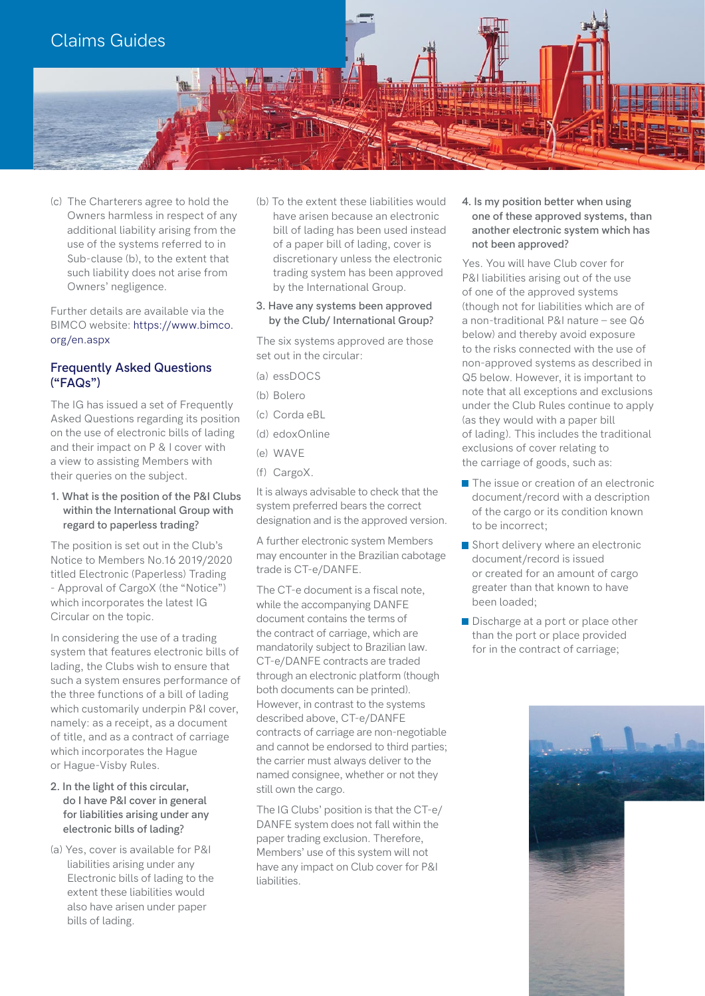

(c) The Charterers agree to hold the Owners harmless in respect of any additional liability arising from the use of the systems referred to in Sub-clause (b), to the extent that such liability does not arise from Owners' negligence.

Further details are available via the [BIMCO website: https://www.bimco.](https://www.bimco.org/en.aspx) org/en.aspx

# **Frequently Asked Questions ("FAQs")**

The IG has issued a set of Frequently Asked Questions regarding its position on the use of electronic bills of lading and their impact on P & I cover with a view to assisting Members with their queries on the subject.

**1. What is the position of the P&I Clubs within the International Group with regard to paperless trading?** 

The position is set out in the Club's Notice to Members No.16 2019/2020 titled Electronic (Paperless) Trading - Approval of CargoX (the "Notice") which incorporates the latest IG Circular on the topic.

In considering the use of a trading system that features electronic bills of lading, the Clubs wish to ensure that such a system ensures performance of the three functions of a bill of lading which customarily underpin P&I cover, namely: as a receipt, as a document of title, and as a contract of carriage which incorporates the Hague or Hague-Visby Rules.

- **2. In the light of this circular, do I have P&I cover in general for liabilities arising under any electronic bills of lading?**
- (a) Yes, cover is available for P&I liabilities arising under any Electronic bills of lading to the extent these liabilities would also have arisen under paper bills of lading.

(b) To the extent these liabilities would have arisen because an electronic bill of lading has been used instead of a paper bill of lading, cover is discretionary unless the electronic trading system has been approved by the International Group.

#### **3. Have any systems been approved by the Club/ International Group?**

The six systems approved are those set out in the circular:

- (a) essDOCS
- (b) Bolero
- (c) Corda eBL
- (d) edoxOnline
- (e)  $WAVF$
- (f) CargoX.

It is always advisable to check that the system preferred bears the correct designation and is the approved version.

A further electronic system Members may encounter in the Brazilian cabotage trade is CT-e/DANFE.

The CT-e document is a fiscal note, while the accompanying DANFE document contains the terms of the contract of carriage, which are mandatorily subject to Brazilian law. CT-e/DANFE contracts are traded through an electronic platform (though both documents can be printed). However, in contrast to the systems described above, CT-e/DANFE contracts of carriage are non-negotiable and cannot be endorsed to third parties; the carrier must always deliver to the named consignee, whether or not they still own the cargo.

The IG Clubs' position is that the CT-e/ DANFE system does not fall within the paper trading exclusion. Therefore, Members' use of this system will not have any impact on Club cover for P&I liabilities.

**4. Is my position better when using one of these approved systems, than another electronic system which has not been approved?** 

Yes. You will have Club cover for P&I liabilities arising out of the use of one of the approved systems (though not for liabilities which are of a non-traditional P&I nature – see Q6 below) and thereby avoid exposure to the risks connected with the use of non-approved systems as described in Q5 below. However, it is important to note that all exceptions and exclusions under the Club Rules continue to apply (as they would with a paper bill of lading). This includes the traditional exclusions of cover relating to the carriage of goods, such as:

- The issue or creation of an electronic document/record with a description of the cargo or its condition known to be incorrect;
- Short delivery where an electronic document/record is issued or created for an amount of cargo greater than that known to have been loaded;
- Discharge at a port or place other than the port or place provided for in the contract of carriage;

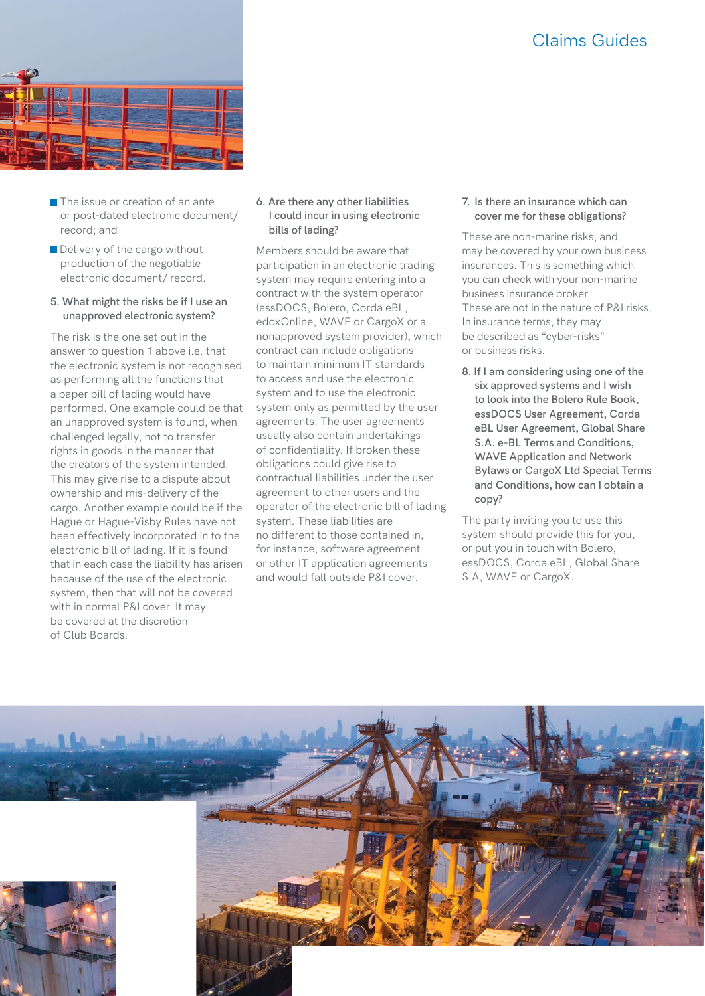# Claims Guides



- $\blacksquare$  The issue or creation of an ante or post-dated electronic document/ record; and
- Delivery of the cargo without production of the negotiable electronic document/ record.

#### **5. What might the risks be if I use an unapproved electronic system?**

The risk is the one set out in the answer to question 1 above i.e. that the electronic system is not recognised as performing all the functions that a paper bill of lading would have performed. One example could be that an unapproved system is found, when challenged legally, not to transfer rights in goods in the manner that the creators of the system intended. This may give rise to a dispute about ownership and mis-delivery of the cargo. Another example could be if the Hague or Hague-Visby Rules have not been effectively incorporated in to the electronic bill of lading. If it is found that in each case the liability has arisen because of the use of the electronic system, then that will not be covered with in normal P&I cover. It may be covered at the discretion of Club Boards.

**6. Are there any other liabilities I could incur in using electronic bills of lading?** 

Members should be aware that participation in an electronic trading system may require entering into a contract with the system operator (essDOCS, Bolero, Corda eBL, edoxOnline, WAVE or CargoX or a nonapproved system provider), which contract can include obligations to maintain minimum IT standards to access and use the electronic system and to use the electronic system only as permitted by the user agreements. The user agreements usually also contain undertakings of confidentiality. If broken these obligations could give rise to contractual liabilities under the user agreement to other users and the operator of the electronic bill of lading system. These liabilities are no different to those contained in, for instance, software agreement or other IT application agreements and would fall outside P&I cover.

**7. Is there an insurance which can cover me for these obligations?** 

These are non-marine risks, and may be covered by your own business insurances. This is something which you can check with your non-marine business insurance broker. These are not in the nature of P&I risks. In insurance terms, they may be described as "cyber-risks" or business risks.

**8. If I am considering using one of the six approved systems and I wish to look into the Bolero Rule Book, essDOCS User Agreement, Corda eBL User Agreement, Global Share S.A. e-BL Terms and Conditions, WAVE Application and Network Bylaws or CargoX Ltd Special Terms and Conditions, how can I obtain a copy?**

The party inviting you to use this system should provide this for you, or put you in touch with Bolero, essDOCS, Corda eBL, Global Share S.A, WAVE or CargoX.